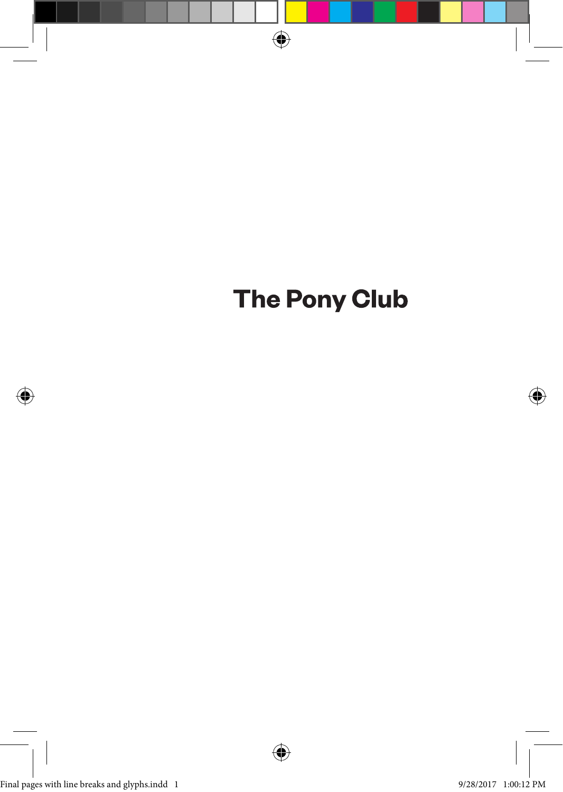

# **The Pony Club**

⊕

Final pages with line breaks and glyphs.indd 1 9/28/2017 1:00:12 PM

⊕



↔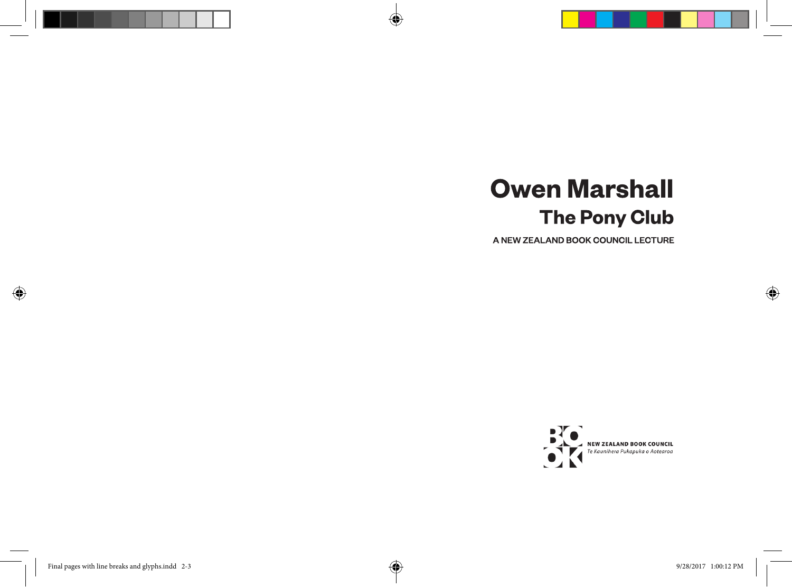# **Owen Marshall The Pony Club**

A)

A NEW ZEALAND BOOK COUNCIL LECTURE



⊕

⊕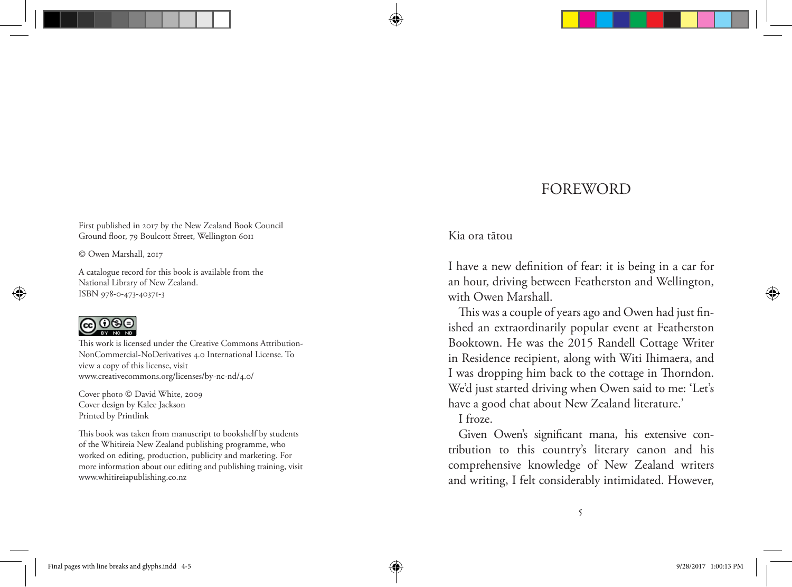# FOREWORD

First published in 2017 by the New Zealand Book Council Ground floor, 79 Boulcott Street, Wellington 6011

© Owen Marshall, 2017

A catalogue record for this book is available from the National Library of New Zealand. ISBN 978-0-473-40371-3

# @0⊛⊚

This work is licensed under the Creative Commons Attribution-NonCommercial-NoDerivatives 4.0 International License. To view a copy of this license, visit www.creativecommons.org/licenses/by-nc-nd/4.0/

Cover photo © David White, 2009 Cover design by Kalee Jackson Printed by Printlink

This book was taken from manuscript to bookshelf by students of the Whitireia New Zealand publishing programme, who worked on editing, production, publicity and marketing. For more information about our editing and publishing training, visit www.whitireiapublishing.co.nz

#### Kia ora tātou

I have a new definition of fear: it is being in a car for an hour, driving between Featherston and Wellington, with Owen Marshall.

This was a couple of years ago and Owen had just finished an extraordinarily popular event at Featherston Booktown. He was the 2015 Randell Cottage Writer in Residence recipient, along with Witi Ihimaera, and I was dropping him back to the cottage in Thorndon. We'd just started driving when Owen said to me: 'Let's have a good chat about New Zealand literature.'

I froze.

Given Owen's significant mana, his extensive contribution to this country's literary canon and his comprehensive knowledge of New Zealand writers and writing, I felt considerably intimidated. However,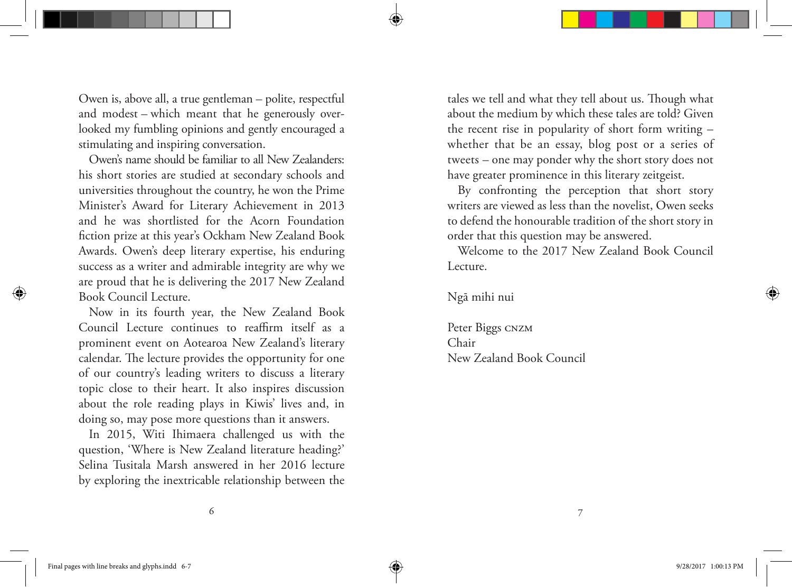Owen is, above all, a true gentleman – polite, respectful and modest – which meant that he generously overlooked my fumbling opinions and gently encouraged a stimulating and inspiring conversation.

Owen's name should be familiar to all New Zealanders: his short stories are studied at secondary schools and universities throughout the country, he won the Prime Minister's Award for Literary Achievement in 2013 and he was shortlisted for the Acorn Foundation fiction prize at this year's Ockham New Zealand Book Awards. Owen's deep literary expertise, his enduring success as a writer and admirable integrity are why we are proud that he is delivering the 2017 New Zealand Book Council Lecture.

Now in its fourth year, the New Zealand Book Council Lecture continues to reaffirm itself as a prominent event on Aotearoa New Zealand's literary calendar. The lecture provides the opportunity for one of our country's leading writers to discuss a literary topic close to their heart. It also inspires discussion about the role reading plays in Kiwis' lives and, in doing so, may pose more questions than it answers.

In 2015, Witi Ihimaera challenged us with the question, 'Where is New Zealand literature heading?' Selina Tusitala Marsh answered in her 2016 lecture by exploring the inextricable relationship between the

tales we tell and what they tell about us. Though what about the medium by which these tales are told? Given the recent rise in popularity of short form writing – whether that be an essay, blog post or a series of tweets – one may ponder why the short story does not have greater prominence in this literary zeitgeist.

By confronting the perception that short story writers are viewed as less than the novelist, Owen seeks to defend the honourable tradition of the short story in order that this question may be answered.

Welcome to the 2017 New Zealand Book Council Lecture.

Ngā mihi nui

Peter Biggs CNZM Chair New Zealand Book Council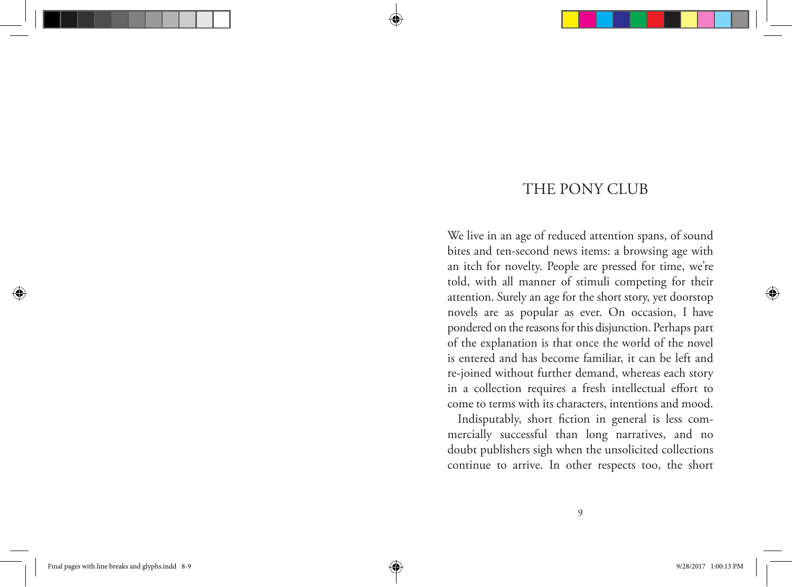# THE PONY CLUB

We live in an age of reduced attention spans, of sound bites and ten-second news items: a browsing age with an itch for novelty. People are pressed for time, we're told, with all manner of stimuli competing for their attention. Surely an age for the short story, yet doorstop novels are as popular as ever. On occasion, I have pondered on the reasons for this disjunction. Perhaps part of the explanation is that once the world of the novel is entered and has become familiar, it can be left and re-joined without further demand, whereas each story in a collection requires a fresh intellectual effort to come to terms with its characters, intentions and mood.

Indisputably, short fiction in general is less commercially successful than long narratives, and no doubt publishers sigh when the unsolicited collections continue to arrive. In other respects too, the short

9

⊕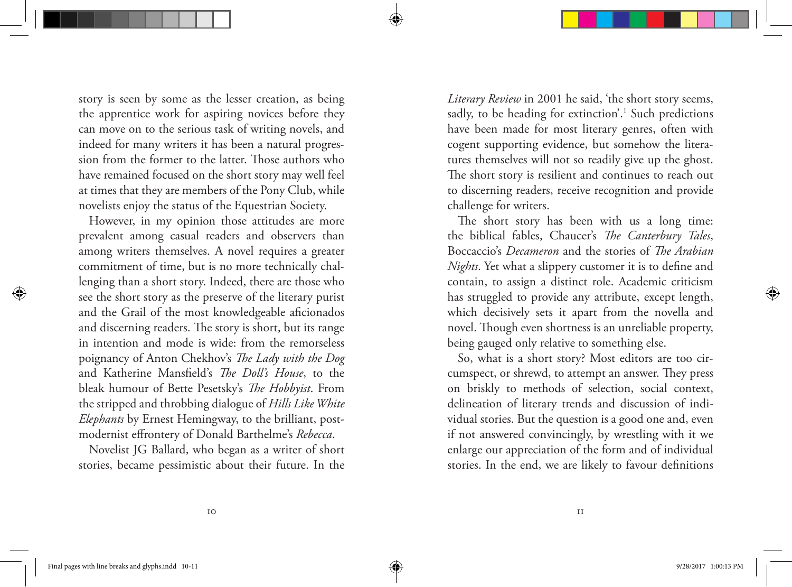story is seen by some as the lesser creation, as being the apprentice work for aspiring novices before they can move on to the serious task of writing novels, and indeed for many writers it has been a natural progression from the former to the latter. Those authors who have remained focused on the short story may well feel at times that they are members of the Pony Club, while novelists enjoy the status of the Equestrian Society.

However, in my opinion those attitudes are more prevalent among casual readers and observers than among writers themselves. A novel requires a greater commitment of time, but is no more technically challenging than a short story. Indeed, there are those who see the short story as the preserve of the literary purist and the Grail of the most knowledgeable aficionados and discerning readers. The story is short, but its range in intention and mode is wide: from the remorseless poignancy of Anton Chekhov's *The Lady with the Dog* and Katherine Mansfield's *The Doll's House*, to the bleak humour of Bette Pesetsky's *The Hobbyist*. From the stripped and throbbing dialogue of *Hills Like White Elephants* by Ernest Hemingway, to the brilliant, postmodernist effrontery of Donald Barthelme's *Rebecca*.

Novelist JG Ballard, who began as a writer of short stories, became pessimistic about their future. In the *Literary Review* in 2001 he said, 'the short story seems, sadly, to be heading for extinction'.<sup>1</sup> Such predictions have been made for most literary genres, often with cogent supporting evidence, but somehow the literatures themselves will not so readily give up the ghost. The short story is resilient and continues to reach out to discerning readers, receive recognition and provide challenge for writers.

The short story has been with us a long time: the biblical fables, Chaucer's *The Canterbury Tales*, Boccaccio's *Decameron* and the stories of *The Arabian Nights*. Yet what a slippery customer it is to define and contain, to assign a distinct role. Academic criticism has struggled to provide any attribute, except length, which decisively sets it apart from the novella and novel. Though even shortness is an unreliable property, being gauged only relative to something else.

So, what is a short story? Most editors are too circumspect, or shrewd, to attempt an answer. They press on briskly to methods of selection, social context, delineation of literary trends and discussion of individual stories. But the question is a good one and, even if not answered convincingly, by wrestling with it we enlarge our appreciation of the form and of individual stories. In the end, we are likely to favour definitions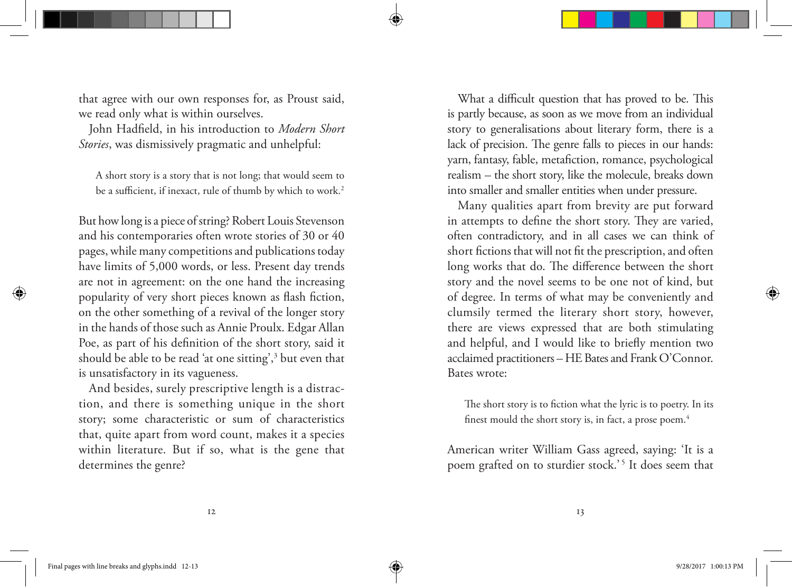that agree with our own responses for, as Proust said, we read only what is within ourselves.

John Hadfield, in his introduction to *Modern Short Stories*, was dismissively pragmatic and unhelpful:

A short story is a story that is not long; that would seem to be a sufficient, if inexact, rule of thumb by which to work.<sup>2</sup>

But how long is a piece of string? Robert Louis Stevenson and his contemporaries often wrote stories of 30 or 40 pages, while many competitions and publications today have limits of 5,000 words, or less. Present day trends are not in agreement: on the one hand the increasing popularity of very short pieces known as flash fiction, on the other something of a revival of the longer story in the hands of those such as Annie Proulx. Edgar Allan Poe, as part of his definition of the short story, said it should be able to be read 'at one sitting',3 but even that is unsatisfactory in its vagueness.

And besides, surely prescriptive length is a distraction, and there is something unique in the short story; some characteristic or sum of characteristics that, quite apart from word count, makes it a species within literature. But if so, what is the gene that determines the genre?

What a difficult question that has proved to be. This is partly because, as soon as we move from an individual story to generalisations about literary form, there is a lack of precision. The genre falls to pieces in our hands: yarn, fantasy, fable, metafiction, romance, psychological realism – the short story, like the molecule, breaks down into smaller and smaller entities when under pressure.

Many qualities apart from brevity are put forward in attempts to define the short story. They are varied, often contradictory, and in all cases we can think of short fictions that will not fit the prescription, and often long works that do. The difference between the short story and the novel seems to be one not of kind, but of degree. In terms of what may be conveniently and clumsily termed the literary short story, however, there are views expressed that are both stimulating and helpful, and I would like to briefly mention two acclaimed practitioners – HE Bates and Frank O'Connor. Bates wrote:

The short story is to fiction what the lyric is to poetry. In its finest mould the short story is, in fact, a prose poem.<sup>4</sup>

American writer William Gass agreed, saying: 'It is a poem grafted on to sturdier stock.'<sup>5</sup> It does seem that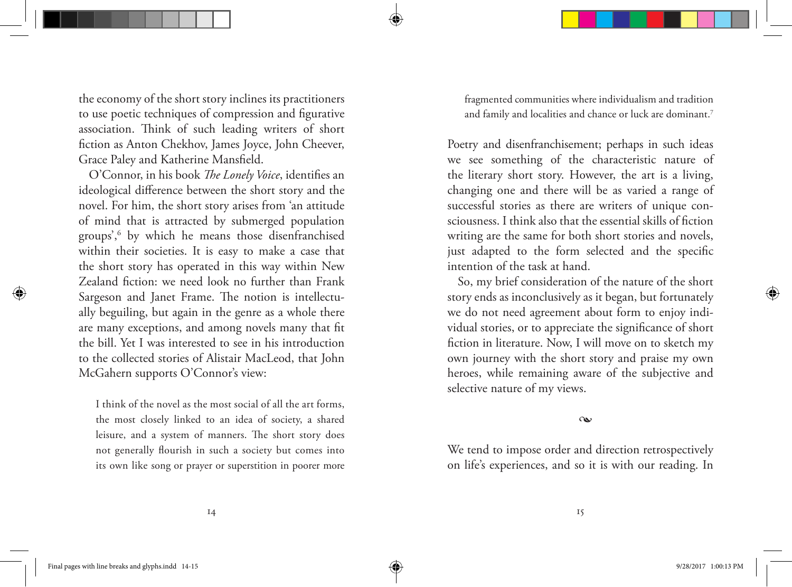the economy of the short story inclines its practitioners to use poetic techniques of compression and figurative association. Think of such leading writers of short fiction as Anton Chekhov, James Joyce, John Cheever, Grace Paley and Katherine Mansfield.

O'Connor, in his book *The Lonely Voice*, identifies an ideological difference between the short story and the novel. For him, the short story arises from 'an attitude of mind that is attracted by submerged population groups',6 by which he means those disenfranchised within their societies. It is easy to make a case that the short story has operated in this way within New Zealand fiction: we need look no further than Frank Sargeson and Janet Frame. The notion is intellectually beguiling, but again in the genre as a whole there are many exceptions, and among novels many that fit the bill. Yet I was interested to see in his introduction to the collected stories of Alistair MacLeod, that John McGahern supports O'Connor's view:

I think of the novel as the most social of all the art forms, the most closely linked to an idea of society, a shared leisure, and a system of manners. The short story does not generally flourish in such a society but comes into its own like song or prayer or superstition in poorer more fragmented communities where individualism and tradition and family and localities and chance or luck are dominant.7

Poetry and disenfranchisement; perhaps in such ideas we see something of the characteristic nature of the literary short story. However, the art is a living, changing one and there will be as varied a range of successful stories as there are writers of unique consciousness. I think also that the essential skills of fiction writing are the same for both short stories and novels, just adapted to the form selected and the specific intention of the task at hand.

So, my brief consideration of the nature of the short story ends as inconclusively as it began, but fortunately we do not need agreement about form to enjoy individual stories, or to appreciate the significance of short fiction in literature. Now, I will move on to sketch my own journey with the short story and praise my own heroes, while remaining aware of the subjective and selective nature of my views.

•

We tend to impose order and direction retrospectively on life's experiences, and so it is with our reading. In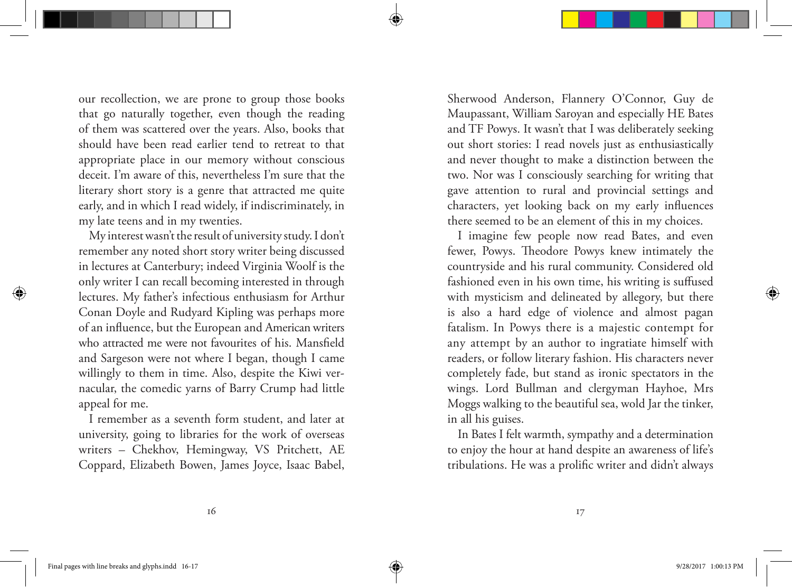our recollection, we are prone to group those books that go naturally together, even though the reading of them was scattered over the years. Also, books that should have been read earlier tend to retreat to that appropriate place in our memory without conscious deceit. I'm aware of this, nevertheless I'm sure that the literary short story is a genre that attracted me quite early, and in which I read widely, if indiscriminately, in my late teens and in my twenties.

My interest wasn't the result of university study. I don't remember any noted short story writer being discussed in lectures at Canterbury; indeed Virginia Woolf is the only writer I can recall becoming interested in through lectures. My father's infectious enthusiasm for Arthur Conan Doyle and Rudyard Kipling was perhaps more of an influence, but the European and American writers who attracted me were not favourites of his. Mansfield and Sargeson were not where I began, though I came willingly to them in time. Also, despite the Kiwi vernacular, the comedic yarns of Barry Crump had little appeal for me.

I remember as a seventh form student, and later at university, going to libraries for the work of overseas writers – Chekhov, Hemingway, VS Pritchett, AE Coppard, Elizabeth Bowen, James Joyce, Isaac Babel, Sherwood Anderson, Flannery O'Connor, Guy de Maupassant, William Saroyan and especially HE Bates and TF Powys. It wasn't that I was deliberately seeking out short stories: I read novels just as enthusiastically and never thought to make a distinction between the two. Nor was I consciously searching for writing that gave attention to rural and provincial settings and characters, yet looking back on my early influences there seemed to be an element of this in my choices.

I imagine few people now read Bates, and even fewer, Powys. Theodore Powys knew intimately the countryside and his rural community. Considered old fashioned even in his own time, his writing is suffused with mysticism and delineated by allegory, but there is also a hard edge of violence and almost pagan fatalism. In Powys there is a majestic contempt for any attempt by an author to ingratiate himself with readers, or follow literary fashion. His characters never completely fade, but stand as ironic spectators in the wings. Lord Bullman and clergyman Hayhoe, Mrs Moggs walking to the beautiful sea, wold Jar the tinker, in all his guises.

In Bates I felt warmth, sympathy and a determination to enjoy the hour at hand despite an awareness of life's tribulations. He was a prolific writer and didn't always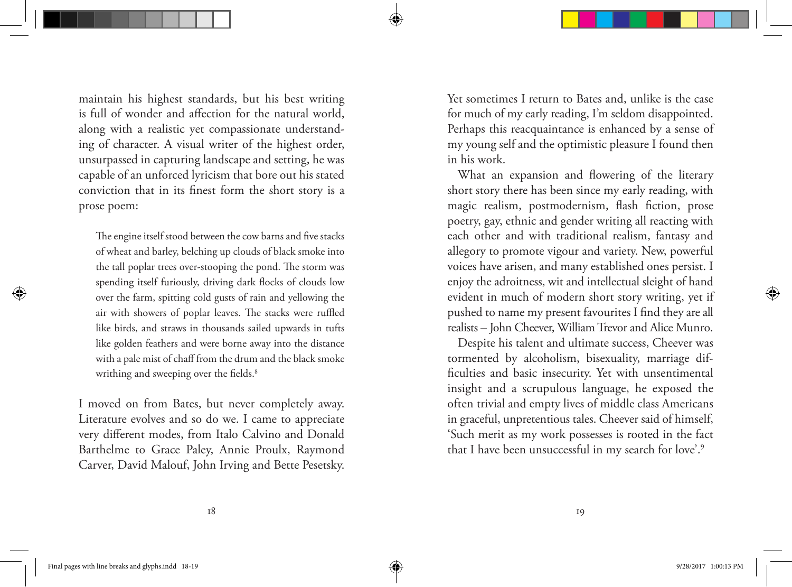maintain his highest standards, but his best writing is full of wonder and affection for the natural world, along with a realistic yet compassionate understanding of character. A visual writer of the highest order, unsurpassed in capturing landscape and setting, he was capable of an unforced lyricism that bore out his stated conviction that in its finest form the short story is a prose poem:

The engine itself stood between the cow barns and five stacks of wheat and barley, belching up clouds of black smoke into the tall poplar trees over-stooping the pond. The storm was spending itself furiously, driving dark flocks of clouds low over the farm, spitting cold gusts of rain and yellowing the air with showers of poplar leaves. The stacks were ruffled like birds, and straws in thousands sailed upwards in tufts like golden feathers and were borne away into the distance with a pale mist of chaff from the drum and the black smoke writhing and sweeping over the fields.<sup>8</sup>

I moved on from Bates, but never completely away. Literature evolves and so do we. I came to appreciate very different modes, from Italo Calvino and Donald Barthelme to Grace Paley, Annie Proulx, Raymond Carver, David Malouf, John Irving and Bette Pesetsky. Yet sometimes I return to Bates and, unlike is the case for much of my early reading, I'm seldom disappointed. Perhaps this reacquaintance is enhanced by a sense of my young self and the optimistic pleasure I found then in his work.

What an expansion and flowering of the literary short story there has been since my early reading, with magic realism, postmodernism, flash fiction, prose poetry, gay, ethnic and gender writing all reacting with each other and with traditional realism, fantasy and allegory to promote vigour and variety. New, powerful voices have arisen, and many established ones persist. I enjoy the adroitness, wit and intellectual sleight of hand evident in much of modern short story writing, yet if pushed to name my present favourites I find they are all realists – John Cheever, William Trevor and Alice Munro.

Despite his talent and ultimate success, Cheever was tormented by alcoholism, bisexuality, marriage difficulties and basic insecurity. Yet with unsentimental insight and a scrupulous language, he exposed the often trivial and empty lives of middle class Americans in graceful, unpretentious tales. Cheever said of himself, 'Such merit as my work possesses is rooted in the fact that I have been unsuccessful in my search for love'.9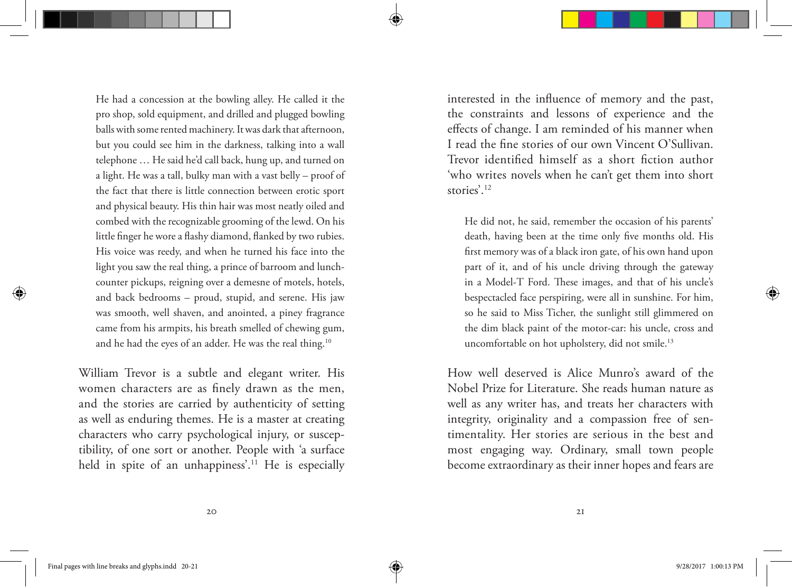He had a concession at the bowling alley. He called it the pro shop, sold equipment, and drilled and plugged bowling balls with some rented machinery. It was dark that afternoon, but you could see him in the darkness, talking into a wall telephone … He said he'd call back, hung up, and turned on a light. He was a tall, bulky man with a vast belly – proof of the fact that there is little connection between erotic sport and physical beauty. His thin hair was most neatly oiled and combed with the recognizable grooming of the lewd. On his little finger he wore a flashy diamond, flanked by two rubies. His voice was reedy, and when he turned his face into the light you saw the real thing, a prince of barroom and lunchcounter pickups, reigning over a demesne of motels, hotels, and back bedrooms – proud, stupid, and serene. His jaw was smooth, well shaven, and anointed, a piney fragrance came from his armpits, his breath smelled of chewing gum, and he had the eyes of an adder. He was the real thing.10

William Trevor is a subtle and elegant writer. His women characters are as finely drawn as the men, and the stories are carried by authenticity of setting as well as enduring themes. He is a master at creating characters who carry psychological injury, or susceptibility, of one sort or another. People with 'a surface held in spite of an unhappiness'.<sup>11</sup> He is especially interested in the influence of memory and the past, the constraints and lessons of experience and the effects of change. I am reminded of his manner when I read the fine stories of our own Vincent O'Sullivan. Trevor identified himself as a short fiction author 'who writes novels when he can't get them into short stories'.<sup>12</sup>

He did not, he said, remember the occasion of his parents' death, having been at the time only five months old. His first memory was of a black iron gate, of his own hand upon part of it, and of his uncle driving through the gateway in a Model-T Ford. These images, and that of his uncle's bespectacled face perspiring, were all in sunshine. For him, so he said to Miss Ticher, the sunlight still glimmered on the dim black paint of the motor-car: his uncle, cross and uncomfortable on hot upholstery, did not smile.<sup>13</sup>

How well deserved is Alice Munro's award of the Nobel Prize for Literature. She reads human nature as well as any writer has, and treats her characters with integrity, originality and a compassion free of sentimentality. Her stories are serious in the best and most engaging way. Ordinary, small town people become extraordinary as their inner hopes and fears are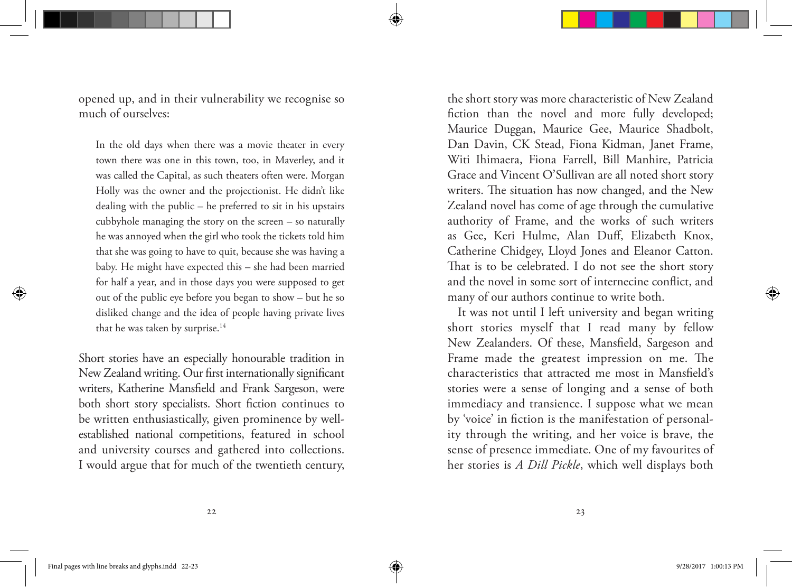opened up, and in their vulnerability we recognise so much of ourselves:

In the old days when there was a movie theater in every town there was one in this town, too, in Maverley, and it was called the Capital, as such theaters often were. Morgan Holly was the owner and the projectionist. He didn't like dealing with the public – he preferred to sit in his upstairs cubbyhole managing the story on the screen – so naturally he was annoyed when the girl who took the tickets told him that she was going to have to quit, because she was having a baby. He might have expected this – she had been married for half a year, and in those days you were supposed to get out of the public eye before you began to show – but he so disliked change and the idea of people having private lives that he was taken by surprise.<sup>14</sup>

Short stories have an especially honourable tradition in New Zealand writing. Our first internationally significant writers, Katherine Mansfield and Frank Sargeson, were both short story specialists. Short fiction continues to be written enthusiastically, given prominence by wellestablished national competitions, featured in school and university courses and gathered into collections. I would argue that for much of the twentieth century, the short story was more characteristic of New Zealand fiction than the novel and more fully developed; Maurice Duggan, Maurice Gee, Maurice Shadbolt, Dan Davin, CK Stead, Fiona Kidman, Janet Frame, Witi Ihimaera, Fiona Farrell, Bill Manhire, Patricia Grace and Vincent O'Sullivan are all noted short story writers. The situation has now changed, and the New Zealand novel has come of age through the cumulative authority of Frame, and the works of such writers as Gee, Keri Hulme, Alan Duff, Elizabeth Knox, Catherine Chidgey, Lloyd Jones and Eleanor Catton. That is to be celebrated. I do not see the short story and the novel in some sort of internecine conflict, and many of our authors continue to write both.

It was not until I left university and began writing short stories myself that I read many by fellow New Zealanders. Of these, Mansfield, Sargeson and Frame made the greatest impression on me. The characteristics that attracted me most in Mansfield's stories were a sense of longing and a sense of both immediacy and transience. I suppose what we mean by 'voice' in fiction is the manifestation of personality through the writing, and her voice is brave, the sense of presence immediate. One of my favourites of her stories is *A Dill Pickle*, which well displays both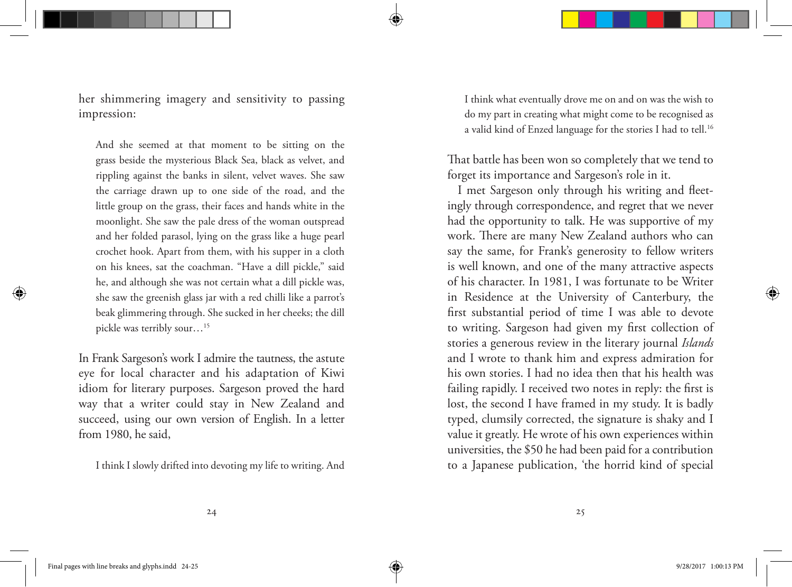her shimmering imagery and sensitivity to passing impression:

And she seemed at that moment to be sitting on the grass beside the mysterious Black Sea, black as velvet, and rippling against the banks in silent, velvet waves. She saw the carriage drawn up to one side of the road, and the little group on the grass, their faces and hands white in the moonlight. She saw the pale dress of the woman outspread and her folded parasol, lying on the grass like a huge pearl crochet hook. Apart from them, with his supper in a cloth on his knees, sat the coachman. "Have a dill pickle," said he, and although she was not certain what a dill pickle was, she saw the greenish glass jar with a red chilli like a parrot's beak glimmering through. She sucked in her cheeks; the dill pickle was terribly sour…15

In Frank Sargeson's work I admire the tautness, the astute eye for local character and his adaptation of Kiwi idiom for literary purposes. Sargeson proved the hard way that a writer could stay in New Zealand and succeed, using our own version of English. In a letter from 1980, he said,

I think I slowly drifted into devoting my life to writing. And

I think what eventually drove me on and on was the wish to do my part in creating what might come to be recognised as a valid kind of Enzed language for the stories I had to tell.<sup>16</sup>

That battle has been won so completely that we tend to forget its importance and Sargeson's role in it.

I met Sargeson only through his writing and fleetingly through correspondence, and regret that we never had the opportunity to talk. He was supportive of my work. There are many New Zealand authors who can say the same, for Frank's generosity to fellow writers is well known, and one of the many attractive aspects of his character. In 1981, I was fortunate to be Writer in Residence at the University of Canterbury, the first substantial period of time I was able to devote to writing. Sargeson had given my first collection of stories a generous review in the literary journal *Islands* and I wrote to thank him and express admiration for his own stories. I had no idea then that his health was failing rapidly. I received two notes in reply: the first is lost, the second I have framed in my study. It is badly typed, clumsily corrected, the signature is shaky and I value it greatly. He wrote of his own experiences within universities, the \$50 he had been paid for a contribution to a Japanese publication, 'the horrid kind of special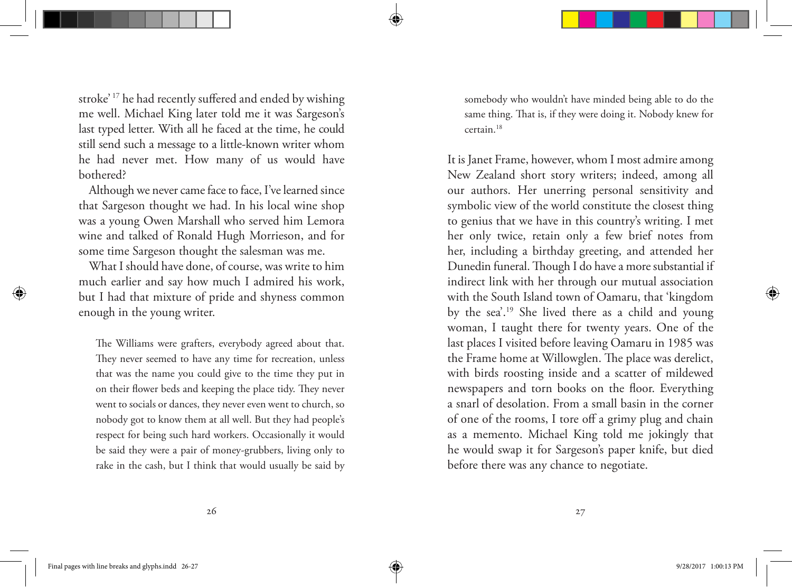stroke' 17 he had recently suffered and ended by wishing me well. Michael King later told me it was Sargeson's last typed letter. With all he faced at the time, he could still send such a message to a little-known writer whom he had never met. How many of us would have bothered?

Although we never came face to face, I've learned since that Sargeson thought we had. In his local wine shop was a young Owen Marshall who served him Lemora wine and talked of Ronald Hugh Morrieson, and for some time Sargeson thought the salesman was me.

What I should have done, of course, was write to him much earlier and say how much I admired his work, but I had that mixture of pride and shyness common enough in the young writer.

The Williams were grafters, everybody agreed about that. They never seemed to have any time for recreation, unless that was the name you could give to the time they put in on their flower beds and keeping the place tidy. They never went to socials or dances, they never even went to church, so nobody got to know them at all well. But they had people's respect for being such hard workers. Occasionally it would be said they were a pair of money-grubbers, living only to rake in the cash, but I think that would usually be said by somebody who wouldn't have minded being able to do the same thing. That is, if they were doing it. Nobody knew for certain.18

It is Janet Frame, however, whom I most admire among New Zealand short story writers; indeed, among all our authors. Her unerring personal sensitivity and symbolic view of the world constitute the closest thing to genius that we have in this country's writing. I met her only twice, retain only a few brief notes from her, including a birthday greeting, and attended her Dunedin funeral. Though I do have a more substantial if indirect link with her through our mutual association with the South Island town of Oamaru, that 'kingdom by the sea'.19 She lived there as a child and young woman, I taught there for twenty years. One of the last places I visited before leaving Oamaru in 1985 was the Frame home at Willowglen. The place was derelict, with birds roosting inside and a scatter of mildewed newspapers and torn books on the floor. Everything a snarl of desolation. From a small basin in the corner of one of the rooms, I tore off a grimy plug and chain as a memento. Michael King told me jokingly that he would swap it for Sargeson's paper knife, but died before there was any chance to negotiate.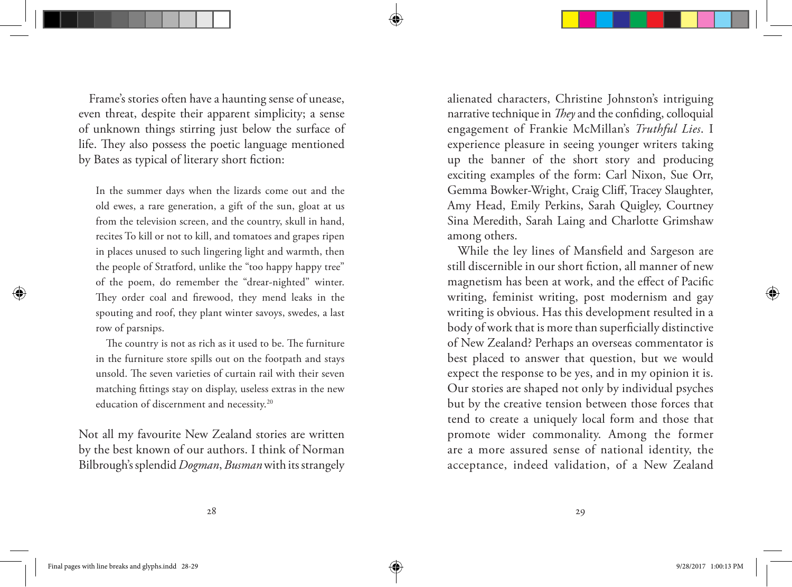Frame's stories often have a haunting sense of unease, even threat, despite their apparent simplicity; a sense of unknown things stirring just below the surface of life. They also possess the poetic language mentioned by Bates as typical of literary short fiction:

In the summer days when the lizards come out and the old ewes, a rare generation, a gift of the sun, gloat at us from the television screen, and the country, skull in hand, recites To kill or not to kill, and tomatoes and grapes ripen in places unused to such lingering light and warmth, then the people of Stratford, unlike the "too happy happy tree" of the poem, do remember the "drear-nighted" winter. They order coal and firewood, they mend leaks in the spouting and roof, they plant winter savoys, swedes, a last row of parsnips.

The country is not as rich as it used to be. The furniture in the furniture store spills out on the footpath and stays unsold. The seven varieties of curtain rail with their seven matching fittings stay on display, useless extras in the new education of discernment and necessity.<sup>20</sup>

Not all my favourite New Zealand stories are written by the best known of our authors. I think of Norman Bilbrough's splendid *Dogman*, *Busman* with its strangely alienated characters, Christine Johnston's intriguing narrative technique in *They* and the confiding, colloquial engagement of Frankie McMillan's *Truthful Lies*. I experience pleasure in seeing younger writers taking up the banner of the short story and producing exciting examples of the form: Carl Nixon, Sue Orr, Gemma Bowker-Wright, Craig Cliff, Tracey Slaughter, Amy Head, Emily Perkins, Sarah Quigley, Courtney Sina Meredith, Sarah Laing and Charlotte Grimshaw among others.

While the ley lines of Mansfield and Sargeson are still discernible in our short fiction, all manner of new magnetism has been at work, and the effect of Pacific writing, feminist writing, post modernism and gay writing is obvious. Has this development resulted in a body of work that is more than superficially distinctive of New Zealand? Perhaps an overseas commentator is best placed to answer that question, but we would expect the response to be yes, and in my opinion it is. Our stories are shaped not only by individual psyches but by the creative tension between those forces that tend to create a uniquely local form and those that promote wider commonality. Among the former are a more assured sense of national identity, the acceptance, indeed validation, of a New Zealand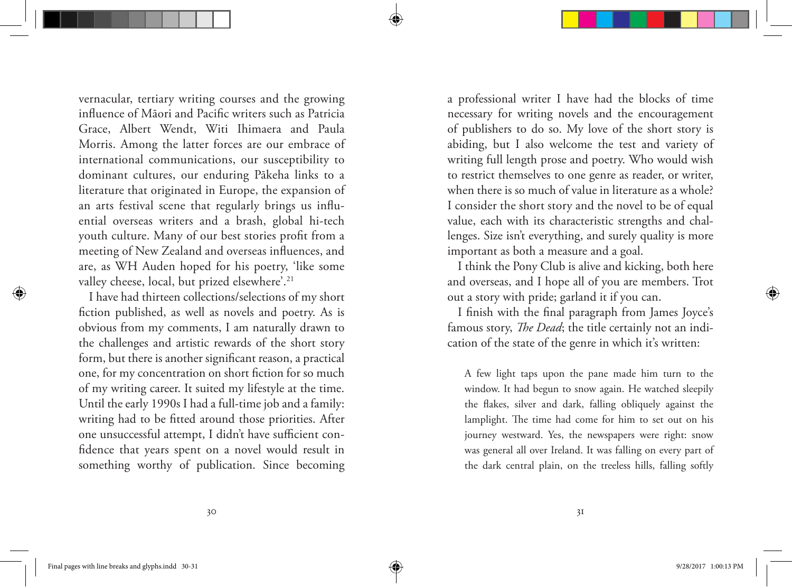vernacular, tertiary writing courses and the growing influence of Māori and Pacific writers such as Patricia Grace, Albert Wendt, Witi Ihimaera and Paula Morris. Among the latter forces are our embrace of international communications, our susceptibility to dominant cultures, our enduring Pākeha links to a literature that originated in Europe, the expansion of an arts festival scene that regularly brings us influential overseas writers and a brash, global hi-tech youth culture. Many of our best stories profit from a meeting of New Zealand and overseas influences, and are, as WH Auden hoped for his poetry, 'like some valley cheese, local, but prized elsewhere'.<sup>21</sup>

I have had thirteen collections/selections of my short fiction published, as well as novels and poetry. As is obvious from my comments, I am naturally drawn to the challenges and artistic rewards of the short story form, but there is another significant reason, a practical one, for my concentration on short fiction for so much of my writing career. It suited my lifestyle at the time. Until the early 1990s I had a full-time job and a family: writing had to be fitted around those priorities. After one unsuccessful attempt, I didn't have sufficient confidence that years spent on a novel would result in something worthy of publication. Since becoming a professional writer I have had the blocks of time necessary for writing novels and the encouragement of publishers to do so. My love of the short story is abiding, but I also welcome the test and variety of writing full length prose and poetry. Who would wish to restrict themselves to one genre as reader, or writer, when there is so much of value in literature as a whole? I consider the short story and the novel to be of equal value, each with its characteristic strengths and challenges. Size isn't everything, and surely quality is more important as both a measure and a goal.

I think the Pony Club is alive and kicking, both here and overseas, and I hope all of you are members. Trot out a story with pride; garland it if you can.

I finish with the final paragraph from James Joyce's famous story, *The Dead*; the title certainly not an indication of the state of the genre in which it's written:

A few light taps upon the pane made him turn to the window. It had begun to snow again. He watched sleepily the flakes, silver and dark, falling obliquely against the lamplight. The time had come for him to set out on his journey westward. Yes, the newspapers were right: snow was general all over Ireland. It was falling on every part of the dark central plain, on the treeless hills, falling softly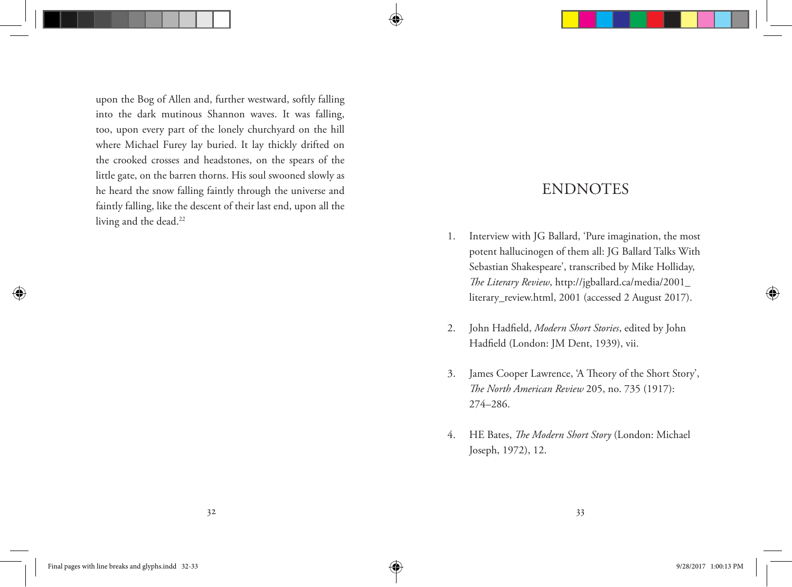upon the Bog of Allen and, further westward, softly falling into the dark mutinous Shannon waves. It was falling, too, upon every part of the lonely churchyard on the hill where Michael Furey lay buried. It lay thickly drifted on the crooked crosses and headstones, on the spears of the little gate, on the barren thorns. His soul swooned slowly as he heard the snow falling faintly through the universe and faintly falling, like the descent of their last end, upon all the living and the dead.<sup>22</sup>

# ENDNOTES

- 1. Interview with JG Ballard, 'Pure imagination, the most potent hallucinogen of them all: JG Ballard Talks With Sebastian Shakespeare', transcribed by Mike Holliday, *The Literary Review*, http://jgballard.ca/media/2001\_ literary\_review.html, 2001 (accessed 2 August 2017).
- 2. John Hadfield, *Modern Short Stories*, edited by John Hadfield (London: JM Dent, 1939), vii.
- 3. James Cooper Lawrence, 'A Theory of the Short Story', *The North American Review* 205, no. 735 (1917): 274–286.
- 4. HE Bates, *The Modern Short Story* (London: Michael Joseph, 1972), 12.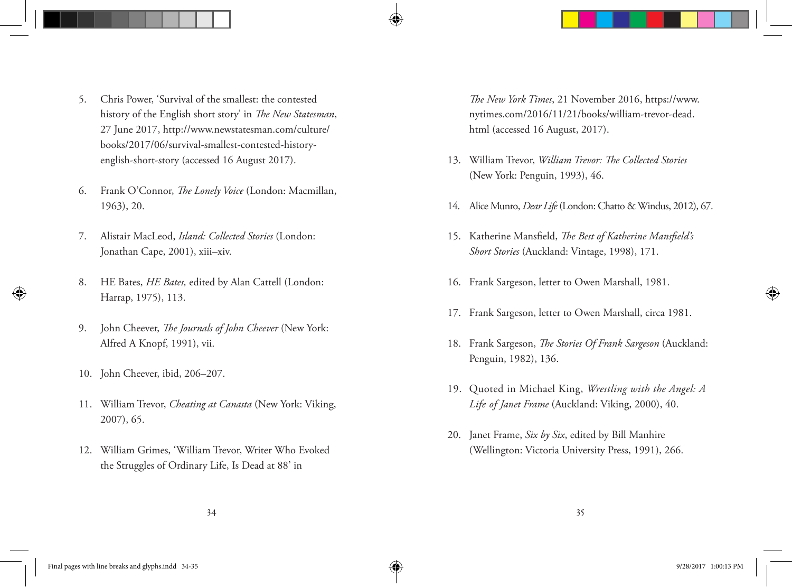- 5. Chris Power, 'Survival of the smallest: the contested history of the English short story' in *The New Statesman*, 27 June 2017, http://www.newstatesman.com/culture/ books/2017/06/survival-smallest-contested-historyenglish-short-story (accessed 16 August 2017).
- 6. Frank O'Connor, *The Lonely Voice* (London: Macmillan, 1963), 20.
- 7. Alistair MacLeod, *Island: Collected Stories* (London: Jonathan Cape, 2001), xiii–xiv.
- 8. HE Bates, *HE Bates,* edited by Alan Cattell (London: Harrap, 1975), 113.
- 9. John Cheever, *The Journals of John Cheever* (New York: Alfred A Knopf, 1991), vii.
- 10. John Cheever, ibid, 206–207.
- 11. William Trevor, *Cheating at Canasta* (New York: Viking, 2007), 65.
- 12. William Grimes, 'William Trevor, Writer Who Evoked the Struggles of Ordinary Life, Is Dead at 88' in

*The New York Times*, 21 November 2016, https://www. nytimes.com/2016/11/21/books/william-trevor-dead. html (accessed 16 August, 2017).

- 13. William Trevor, *William Trevor: The Collected Stories* (New York: Penguin, 1993), 46.
- 14. Alice Munro, *Dear Life* (London: Chatto & Windus, 2012), 67.
- 15. Katherine Mansfield, *The Best of Katherine Mansfield's Short Stories* (Auckland: Vintage, 1998), 171.
- 16. Frank Sargeson, letter to Owen Marshall, 1981.
- 17. Frank Sargeson, letter to Owen Marshall, circa 1981.
- 18. Frank Sargeson, *The Stories Of Frank Sargeson* (Auckland: Penguin, 1982), 136.
- 19. Quoted in Michael King, *Wrestling with the Angel: A Life of Janet Frame* (Auckland: Viking, 2000), 40.
- 20. Janet Frame, *Six by Six*, edited by Bill Manhire (Wellington: Victoria University Press, 1991), 266.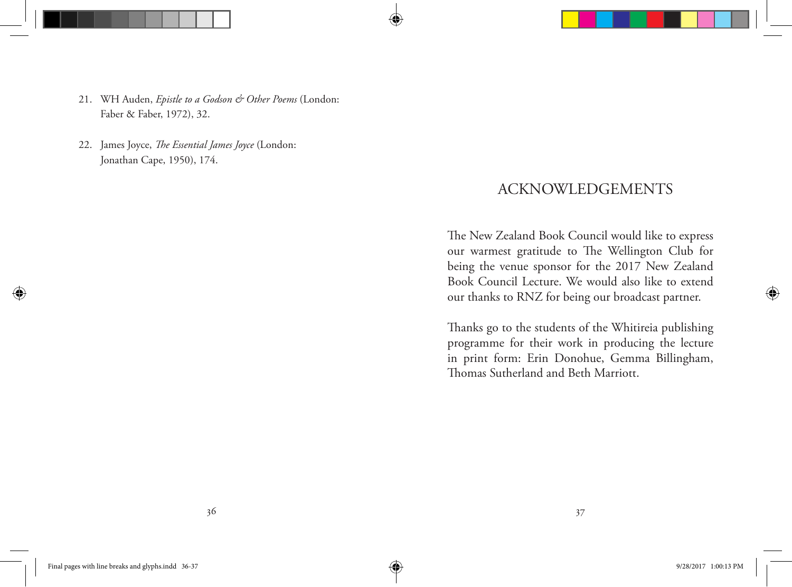- 21. WH Auden, *Epistle to a Godson & Other Poems* (London: Faber & Faber, 1972), 32.
- 22. James Joyce, *The Essential James Joyce* (London: Jonathan Cape, 1950), 174.

### ACKNOWLEDGEMENTS

The New Zealand Book Council would like to express our warmest gratitude to The Wellington Club for being the venue sponsor for the 2017 New Zealand Book Council Lecture. We would also like to extend our thanks to RNZ for being our broadcast partner.

Thanks go to the students of the Whitireia publishing programme for their work in producing the lecture in print form: Erin Donohue, Gemma Billingham, Thomas Sutherland and Beth Marriott.

⊕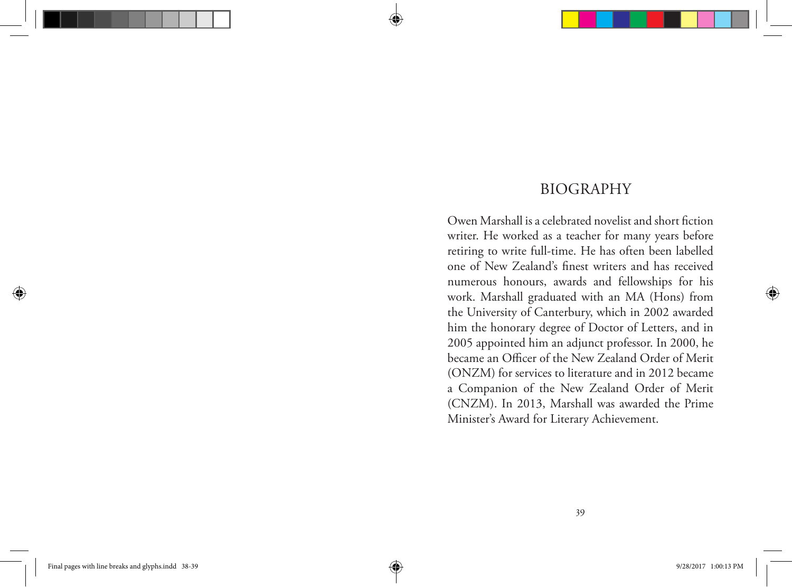### BIOGRAPHY

Owen Marshall is a celebrated novelist and short fiction writer. He worked as a teacher for many years before retiring to write full-time. He has often been labelled one of New Zealand's finest writers and has received numerous honours, awards and fellowships for his work. Marshall graduated with an MA (Hons) from the University of Canterbury, which in 2002 awarded him the honorary degree of Doctor of Letters, and in 2005 appointed him an adjunct professor. In 2000, he became an Officer of the New Zealand Order of Merit (ONZM) for services to literature and in 2012 became a Companion of the New Zealand Order of Merit (CNZM). In 2013, Marshall was awarded the Prime Minister's Award for Literary Achievement.

⊕